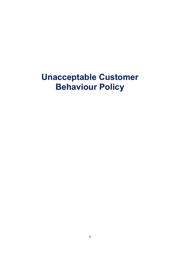# **Unacceptable Customer Behaviour Policy**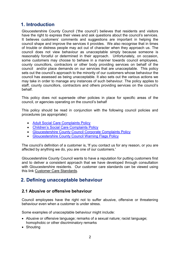## **1. Introduction**

Gloucestershire County Council ('the council') believes that residents and visitors have the right to express their views and ask questions about the council's services. It believes customers' comments and suggestions are important in helping the council shape and improve the services it provides. We also recognise that in times of trouble or distress people may act out of character when they approach us. The council does not view behaviour as unacceptable simply because someone is reasonably forceful or determined in their approach. Unfortunately, on occasion, some customers may choose to behave in a manner towards council employees, county councillors, contractors or other body providing services on behalf of the council and/or place demands on our services that are unacceptable. This policy sets out the council's approach to the minority of our customers whose behaviour the council has assessed as being unacceptable. It also sets out the various actions we may take in order to manage any instances of such behaviour. The policy applies to staff, county councillors, contractors and others providing services on the council's behalf.

This policy does not supersede other policies in place for specific areas of the council, or agencies operating on the council's behalf

This policy should be read in conjunction with the following council policies and procedures (as appropriate):

- [Adult Social Care Complaints Policy](http://www.gloucestershire.gov.uk/media/16655/adult-social-care-complaints-policy.pdf)
- [Children's Social Care Complaints Policy](http://www.gloucestershire.gov.uk/media/16656/childrens-social-care-complaints-policy.pdf)
- [Gloucestershire County Council Corporate Complaints Policy](http://www.gloucestershire.gov.uk/media/16658/gloucestershire-county-council-corporate-complaints-policy.pdf)
- [Gloucestershire County Council Warning Flags Policy](http://www.gloucestershire.gov.uk/media/16660/gloucestershire-county-council-warning-flags-policy.pdf)

The council's definition of a customer is, 'If you contact us for any reason, or you are affected by anything we do, you are one of our customers.'

Gloucestershire County Council wants to have a reputation for putting customers first and to deliver a consistent approach that we have developed through consultation with Gloucestershire residents. Our customer care standards can be viewed using this link [Customer Care Standards.](http://www.gloucestershire.gov.uk/council-and-democracy/complaints-and-feedback/customer-care-standards/)

## **2. Defining unacceptable behaviour**

#### **2.1 Abusive or offensive behaviour**

Council employees have the right not to suffer abusive, offensive or threatening behaviour even when a customer is under stress.

Some examples of unacceptable behaviour might include:

- Abusive or offensive language; remarks of a sexual nature; racist language; homophobic or other discriminatory remarks
- Shouting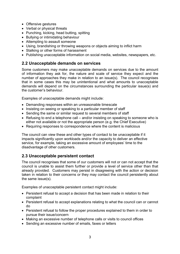- Offensive gestures
- Verbal or physical threats
- Punching, kicking, head butting, spitting
- Bullying or intimidating behaviour
- Attempting to assault someone
- Using, brandishing or throwing weapons or objects aiming to inflict harm
- Stalking or other forms of harassment
- Publishing unacceptable information on social media, websites, newspapers, etc.

#### **2.2 Unacceptable demands on services**

Some customers may make unacceptable demands on services due to the amount of information they ask for, the nature and scale of service they expect and the number of approaches they make in relation to an issue(s). The council recognises that in some cases this may be unintentional and what amounts to unacceptable demands will depend on the circumstances surrounding the particular issue(s) and the customer's behaviour.

Examples of unacceptable demands might include:

- Demanding responses within an unreasonable timescale
- Insisting on seeing or speaking to a particular member of staff
- Sending the same or similar request to several members of staff
- Refusing to end a telephone call and/or insisting on speaking to someone who is either not available or not the appropriate person (e.g. the Chief Executive)
- Requiring responses to correspondence where the content is malicious

The council can view these and other types of contact to be unacceptable if it impacts significantly upon workloads and/or the capacity to deliver an effective service, for example, taking an excessive amount of employees' time to the disadvantage of other customers.

#### **2.3 Unacceptable persistent contact**

The council recognises that some of our customers will not or can not accept that the council is unable to assist them further or provide a level of service other than that already provided. Customers may persist in disagreeing with the action or decision taken in relation to their concerns or they may contact the council persistently about the same issue(s).

Examples of unacceptable persistent contact might include:

- Persistent refusal to accept a decision that has been made in relation to their complaint
- Persistent refusal to accept explanations relating to what the council can or cannot do
- Persistent refusal to follow the proper procedures explained to them in order to pursue their issue/concern
- Making an excessive number of telephone calls or visits to council offices
- Sending an excessive number of emails, faxes or letters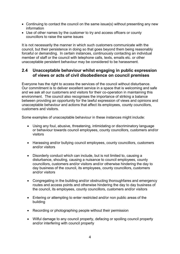- Continuing to contact the council on the same issue(s) without presenting any new information
- Use of other names by the customer to try and access officers or county councillors to raise the same issues

It is not necessarily the manner in which such customers communicate with the council, but their persistence in doing so that goes beyond them being reasonably forceful or demanding. In certain instances, continuously contacting an individual member of staff or the council with telephone calls, texts, emails etc. or other unacceptable persistent behaviour may be considered to be harassment.

#### **2.4 Unacceptable behaviour whilst engaging in public expression of views or acts of civil disobedience on council premises**

Everyone has the right to access the services of the council without disturbance. Our commitment is to deliver excellent service in a space that is welcoming and safe and we ask all our customers and visitors for their co-operation in maintaining this environment. The council also recognises the importance of striking a balance between providing an opportunity for the lawful expression of views and opinions and unacceptable behaviour and actions that affect its employees, county councillors, customers and visitors.

Some examples of unacceptable behaviour in these instances might include:

- Using any foul, abusive, threatening, intimidating or discriminatory language or behaviour towards council employees, county councillors, customers and/or visitors
- Harassing and/or bullying council employees, county councillors, customers and/or visitors
- Disorderly conduct which can include, but is not limited to, causing a disturbance, shouting, causing a nuisance to council employees, county councillors, customers and/or visitors and/or otherwise hindering the day to day business of the council, its employees, county councillors, customers and/or visitors
- Congregating in the building and/or obstructing thoroughfares and emergency routes and access points and otherwise hindering the day to day business of the council, its employees, county councillors, customers and/or visitors
- Entering or attempting to enter restricted and/or non public areas of the building
- Recording or photographing people without their permission
- Wilful damage to any council property, defacing or spoiling council property and/or interfering with council property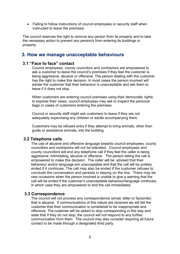• Failing to follow instructions of council employees or security staff when instructed to leave the premises

The council reserves the right to remove any person from its property and to take the necessary action to prevent any person/s from entering its buildings or property.

## **3. How we manage unacceptable behaviours**

#### **3.1 "Face to face" contact**

Council employees, county councilors and contractors are empowered to ask a customer to leave the council's premises if they feel the customer is being aggressive, abusive or offensive. The person dealing with the customer has the right to make this decision. In most cases the person involved will advise the customer that their behaviour is unacceptable and ask them to leave if it does not stop.

When customers are entering council premises using their democratic rights to express their views, council employees may ask to inspect the personal bags or cases of customers entering the premises.

Council or security staff might ask customers to leave if they are not adequately supervising any children or adults accompanying them.

Customers may be refused entry if they attempt to bring animals, other than guide or assistance animals, into the building.

#### **3.2 Telephone calls**

The use of abusive and offensive language towards council employees, county councillors and contractors will not be tolerated. Council employees and county councillors will end any telephone call if they feel the caller is being aggressive, intimidating, abusive or offensive. The person taking the call is empowered to make this decision. The caller will be advised that their behaviour and/or language are unacceptable and that the call will be politely ended if it continues. The call may also be ended if the customer refuses to conclude the conversation and persists in staying on the line. There may be rare occasions when the person involved is unable to give a warning that the call will be ended if the customer's unacceptable behaviour/language continues, in which case they are empowered to end the call immediately.

#### **3.3 Correspondence**

The council will not process any correspondence (email, letter or facsimile) that is abusive. If communications of this nature are received we will tell the customer that their communication is considered to be inappropriate and offensive. The customer will be asked to stop corresponding in this way and state that if they do not stop, the council will not respond to any further communication from them. The council may also consider requiring all future contact to be made through a designated third party.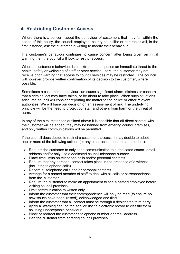## **4. Restricting Customer Access**

Where there is a concern about the behaviour of customers that may fall within the scope of this policy, the council employee, county councillor or contractor will, in the first instance, ask the customer in writing to modify their behaviour.

If a customer's behaviour continues to cause concern after being given an initial warning then the council will look to restrict access.

Where a customer's behaviour is so extreme that it poses an immediate threat to the health, safety or wellbeing of staff or other service users, the customer may not receive prior warning that access to council services may be restricted. The council will however provide written confirmation of its decision to the customer, where possible.

Sometimes a customer's behaviour can cause significant alarm, distress or concern that a criminal act may have taken, or be about to take place. When such situations arise, the council will consider reporting the matter to the police or other relevant authorities. We will base our decision on an assessment of risk. The underlying principle will be the need to protect our staff and others from harm or the threat of harm.

In any of the circumstances outlined above it is possible that all direct contact with the customer will be ended; they may be banned from entering council premises, and only written communications will be permitted.

If the council does decide to restrict a customer's access, it may decide to adopt one or more of the following actions (or any other action deemed appropriate):

- Request the customer to only send communication to a dedicated council email address and/or only use a dedicated council telephone number
- Place time limits on telephone calls and/or personal contacts
- Require that any personal contact takes place in the presence of a witness (including telephone calls)
- Record all telephone calls and/or personal contacts
- Arrange for a named member of staff to deal with all calls or correspondence from the customer
- Require the customer to make an appointment to see a named employee before visiting council premises
- Limit communication to written only
- Inform the customer that their correspondence will only be read (to ensure no new issues have been raised), acknowledged and filed
- Inform the customer that all contact must be through a designated third party
- Apply a "warning flag" on the service user's electronic record to classify them as using unacceptable behaviour
- Block or redirect the customer's telephone number or email address
- Ban the customer from entering council premises